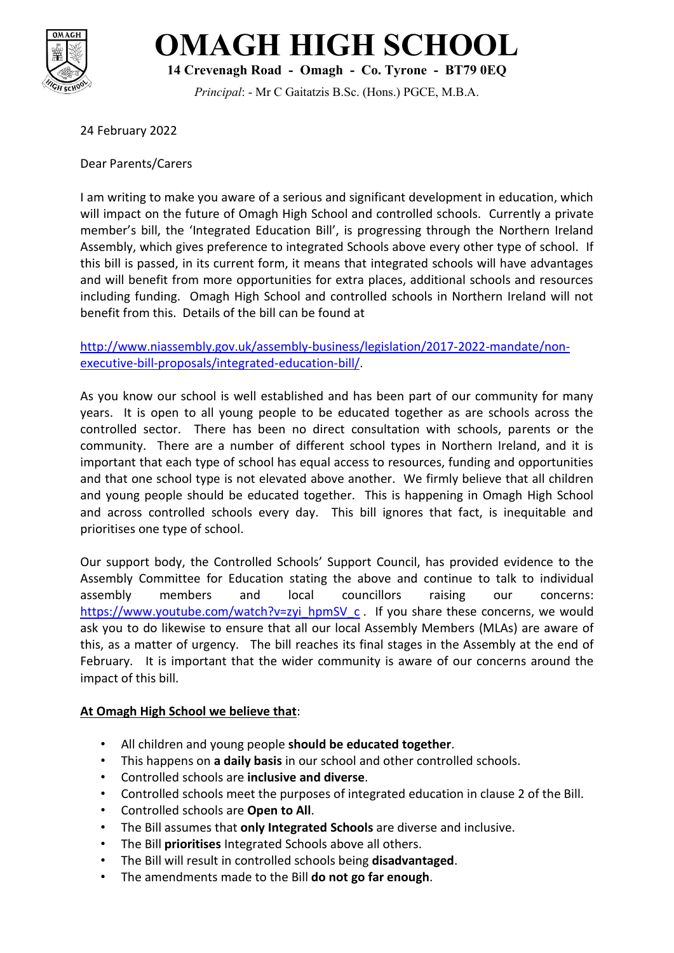

## **OMAGH HIGH SCHOOL**

**14 Crevenagh Road - Omagh - Co. Tyrone - BT79 0EQ**

*Principal*: - Mr C Gaitatzis B.Sc. (Hons.) PGCE, M.B.A.

24 February 2022

Dear Parents/Carers

I am writing to make you aware of a serious and significant development in education, which will impact on the future of Omagh High School and controlled schools. Currently a private member's bill, the 'Integrated Education Bill', is progressing through the Northern Ireland Assembly, which gives preference to integrated Schools above every other type of school. If this bill is passed, in its current form, it means that integrated schools will have advantages and will benefit from more opportunities for extra places, additional schools and resources including funding. Omagh High School and controlled schools in Northern Ireland will not benefit from this. Details of the bill can be found at

[http://www.niassembly.gov.uk/assembly-business/legislation/2017-2022-mandate/non](http://www.niassembly.gov.uk/assembly-business/legislation/2017-2022-mandate/non-executive-bill-proposals/integrated-education-bill/)[executive-bill-proposals/integrated-education-bill/.](http://www.niassembly.gov.uk/assembly-business/legislation/2017-2022-mandate/non-executive-bill-proposals/integrated-education-bill/)

As you know our school is well established and has been part of our community for many years. It is open to all young people to be educated together as are schools across the controlled sector. There has been no direct consultation with schools, parents or the community. There are a number of different school types in Northern Ireland, and it is important that each type of school has equal access to resources, funding and opportunities and that one school type is not elevated above another. We firmly believe that all children and young people should be educated together. This is happening in Omagh High School and across controlled schools every day. This bill ignores that fact, is inequitable and prioritises one type of school.

Our support body, the Controlled Schools' Support Council, has provided evidence to the Assembly Committee for Education stating the above and continue to talk to individual assembly members and local councillors raising our concerns: [https://www.youtube.com/watch?v=zyi\\_hpmSV\\_c](https://www.youtube.com/watch?v=zyi_hpmSV_c) . If you share these concerns, we would ask you to do likewise to ensure that all our local Assembly Members (MLAs) are aware of this, as a matter of urgency. The bill reaches its final stages in the Assembly at the end of February. It is important that the wider community is aware of our concerns around the impact of this bill.

## **At Omagh High School we believe that**:

- All children and young people **should be educated together**.
- This happens on **a daily basis** in our school and other controlled schools.
- Controlled schools are **inclusive and diverse**.
- Controlled schools meet the purposes of integrated education in clause 2 of the Bill.
- Controlled schools are **Open to All**.
- The Bill assumes that **only Integrated Schools** are diverse and inclusive.
- The Bill **prioritises** Integrated Schools above all others.
- The Bill will result in controlled schools being **disadvantaged**.
- The amendments made to the Bill **do not go far enough**.